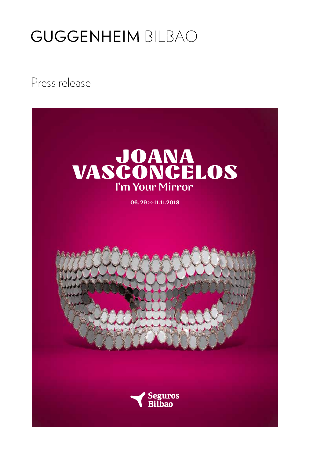Press release

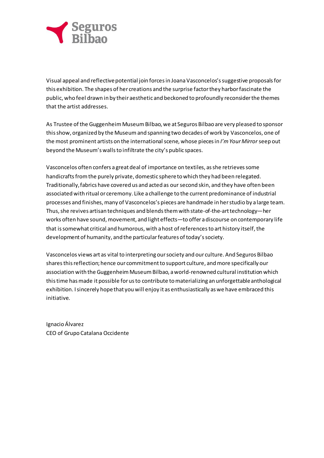

Visual appeal and reflective potential join forces in Joana Vasconcelos's suggestive proposals for this exhibition. The shapes of her creations and the surprise factorthey harborfascinate the public, who feel drawn in by their aesthetic and beckoned to profoundly reconsiderthe themes that the artist addresses.

As Trustee of the Guggenheim Museum Bilbao, we at Seguros Bilbao are very pleased to sponsor thisshow, organized by the Museumand spanning two decades of work by Vasconcelos, one of the most prominent artists on the internationalscene, whose piecesin *I'mYourMirror*seep out beyond the Museum's wallsto infiltrate the city's public spaces.

Vasconcelos often confers a great deal of importance on textiles, asshe retrievessome handicrafts from the purely private, domestic sphere to which they had been relegated. Traditionally,fabrics have covered us and acted as oursecond skin, and they have often been associated with ritual or ceremony. Like a challenge to the current predominance of industrial processes and finishes, many of Vasconcelos's pieces are handmade in herstudio by a large team. Thus, she revives artisan techniques and blends them with state-of-the-art technology-her works often have sound, movement, and light effects—to offer adiscourse on contemporary life that is somewhat critical and humorous, with a host of references to art history itself, the development of humanity, and the particular features of today's society.

Vasconcelos views art as vital to interpreting oursociety and our culture. And Seguros Bilbao sharesthisreflection; hence our commitmentto support culture, andmore specifically our association with the Guggenheim Museum Bilbao, a world-renowned cultural institution which this time has made it possible for us to contribute to materializing an unforgettable anthological exhibition. I sincerely hope that you will enjoy it as enthusiastically as we have embraced this initiative.

Ignacio Álvarez CEO of Grupo Catalana Occidente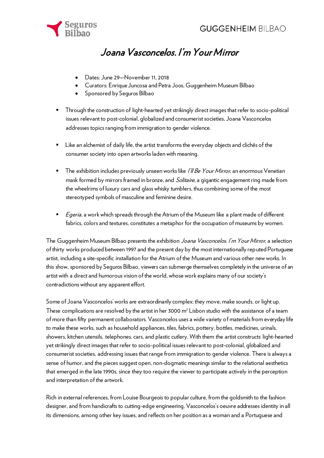

# Joana Vasconcelos. I'm Your Mirror

- Dates: June 29—November 11, 2018
- Curators: Enrique Juncosa and Petra Joos, Guggenheim Museum Bilbao
- Sponsored by Seguros Bilbao
- Through the construction of light-hearted yet strikingly direct images that refer to socio-political issues relevant to post-colonial, globalized and consumerist societies, Joana Vasconcelos addresses topics ranging from immigration to gender violence.
- Like an alchemist of daily life, the artist transforms the everyday objects and clichés of the consumer society into open artworks laden with meaning.
- $\blacksquare$  The exhibition includes previously unseen works like *I'll Be Your Mirror*, an enormous Venetian mask formed by mirrors framed in bronze, and Solitaire, a gigantic engagement ring made from the wheelrims of luxury cars and glass whisky tumblers, thus combining some of the most stereotyped symbols of masculine and feminine desire.
- $E^{geria}$ , a work which spreads through the Atrium of the Museum like a plant made of different fabrics, colors and textures, constitutes a metaphor for the occupation of museums by women.

The Guggenheim Museum Bilbao presents the exhibition Joana Vasconcelos. I'm Your Mirror, a selection of thirty works produced between 1997 and the present day by the most internationally reputed Portuguese artist, including a site-specific installation for the Atrium of the Museum and various other new works. In this show, sponsored by Seguros Bilbao, viewers can submerge themselves completely in the universe of an artist with a direct and humorous vision of the world, whose work explains many of our society's contradictions without any apparent effort.

Some of Joana Vasconcelos' works are extraordinarily complex: they move, make sounds, or light up. These complications are resolved by the artist in her 3000  $m<sup>2</sup>$  Lisbon studio with the assistance of a team of more than fifty permanent collaborators. Vasconcelos uses a wide variety of materials from everyday life to make these works, such as household appliances, tiles, fabrics, pottery, bottles, medicines, urinals, showers, kitchen utensils, telephones, cars, and plastic cutlery. With them the artist constructs light-hearted yet strikingly direct images that refer to socio-political issues relevant to post-colonial, globalized and consumerist societies, addressing issues that range from immigration to gender violence. There is always a sense of humor, and the pieces suggest open, non-dogmatic meanings similar to the relational aesthetics that emerged in the late 1990s, since they too require the viewer to participate actively in the perception and interpretation of the artwork.

Rich in external references, from Louise Bourgeois to popular culture, from the goldsmith to the fashion designer, and from handicrafts to cutting-edge engineering, Vasconcelos's oeuvre addresses identity in all its dimensions, among other key issues, and reflects on her position as a woman and a Portuguese and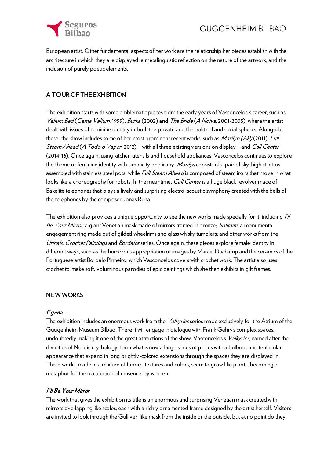

European artist. Other fundamental aspects of her work are the relationship her pieces establish with the architecture in which they are displayed, a metalinguistic reflection on the nature of the artwork, and the inclusion of purely poetic elements.

#### A TOUR OF THE EXHIBITION

The exhibition starts with some emblematic pieces from the early years of Vasconcelos's career, such as Valium Bed (Cama Valium, 1999), Burka (2002) and The Bride (A Noiva, 2001-2005), where the artist dealt with issues of feminine identity in both the private and the political and social spheres. Alongside these, the show includes some of her most prominent recent works, such as Marilyn (AP) (2011), Full Steam Ahead (A Todo o Vapor, 2012) —with all three existing versions on display— and Call Center (2014-16). Once again, using kitchen utensils and household appliances, Vasconcelos continues to explore the theme of feminine identity with simplicity and irony. Marilyn consists of a pair of sky-high stilettos assembled with stainless steel pots, while *Full Steam Ahead* is composed of steam irons that move in what looks like a choreography for robots. In the meantime, Call Center is a huge black revolver made of Bakelite telephones that plays a lively and surprising electro-acoustic symphony created with the bells of the telephones by the composer Jonas Runa.

The exhibition also provides a unique opportunity to see the new works made specially for it, including I'll Be Your Mirror, a giant Venetian mask made of mirrors framed in bronze; Solitaire, a monumental engagement ring made out of gilded wheelrims and glass whisky tumblers; and other works from the Urinals, Crochet Paintings and Bordalos series. Once again, these pieces explore female identity in different ways, such as the humorous appropriation of images by Marcel Duchamp and the ceramics of the Portuguese artist Bordalo Pinheiro, which Vasconcelos covers with crochet work. The artist also uses crochet to make soft, voluminous parodies of epic paintings which she then exhibits in gilt frames.

#### NEW WORKS

#### Egeria

The exhibition includes an enormous work from the *Valkyries* series made exclusively for the Atrium of the Guggenheim Museum Bilbao. There it will engage in dialogue with Frank Gehry's complex spaces, undoubtedly making it one of the great attractions of the show. Vasconcelos's *Valkyries*, named after the divinities of Nordic mythology, form what is now a large series of pieces with a bulbous and tentacular appearance that expand in long brightly-colored extensions through the spaces they are displayed in. These works, made in a mixture of fabrics, textures and colors, seem to grow like plants, becoming a metaphor for the occupation of museums by women.

#### I'll Be Your Mirror

The work that gives the exhibition its title is an enormous and surprising Venetian mask created with mirrors overlapping like scales, each with a richly ornamented frame designed by the artist herself. Visitors are invited to look through the Gulliver-like mask from the inside or the outside, but at no point do they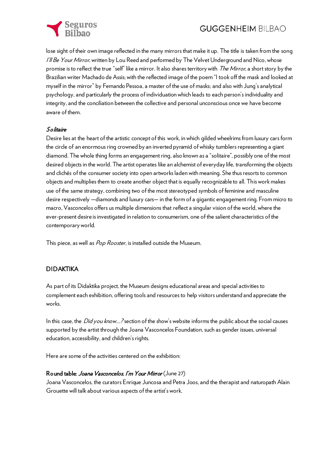

lose sight of their own image reflected in the many mirrors that make it up. The title is taken from the song I'll Be Your Mirror, written by Lou Reed and performed by The Velvet Underground and Nico, whose promise is to reflect the true "self" like a mirror. It also shares territory with *The Mirror*, a short story by the Brazilian writer Machado de Assis; with the reflected image of the poem "I took off the mask and looked at myself in the mirror" by Fernando Pessoa, a master of the use of masks; and also with Jung's analytical psychology, and particularly the process of individuation which leads to each person's individuality and integrity, and the conciliation between the collective and personal unconscious once we have become aware of them.

#### Solitaire

Desire lies at the heart of the artistic concept of this work, in which gilded wheelrims from luxury cars form the circle of an enormous ring crowned by an inverted pyramid of whisky tumblers representing a giant diamond. The whole thing forms an engagement ring, also known as a "solitaire", possibly one of the most desired objects in the world. The artist operates like an alchemist of everyday life, transforming the objects and clichés of the consumer society into open artworks laden with meaning. She thus resorts to common objects and multiplies them to create another object that is equally recognizable to all. This work makes use of the same strategy, combining two of the most stereotyped symbols of feminine and masculine desire respectively —diamonds and luxury cars— in the form of a gigantic engagement ring. From micro to macro, Vasconcelos offers us multiple dimensions that reflect a singular vision of the world, where the ever-present desire is investigated in relation to consumerism, one of the salient characteristics of the contemporary world.

This piece, as well as Pop Rooster, is installed outside the Museum.

#### DIDAKTIKA

As part of its Didaktika project, the Museum designs educational areas and special activities to complement each exhibition, offering tools and resources to help visitors understand and appreciate the works.

In this case, the *Did you know...?* section of the show's website informs the public about the social causes supported by the artist through the Joana Vasconcelos Foundation, such as gender issues, universal education, accessibility, and children's rights.

Here are some of the activities centered on the exhibition:

#### Round table: Joana Vasconcelos. I'm Your Mirror (June 27)

Joana Vasconcelos, the curators Enrique Juncosa and Petra Joos, and the therapist and naturopath Alain Grouette will talk about various aspects of the artist's work.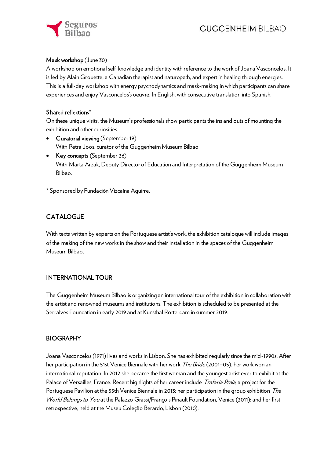

#### Mask workshop (June 30)

A workshop on emotional self-knowledge and identity with reference to the work of Joana Vasconcelos. It is led by Alain Grouette, a Canadian therapist and naturopath, and expert in healing through energies. This is a full-day workshop with energy psychodynamics and mask-making in which participants can share experiences and enjoy Vasconcelos's oeuvre. In English, with consecutive translation into Spanish.

#### Shared reflections\*

On these unique visits, the Museum's professionals show participants the ins and outs of mounting the exhibition and other curiosities.

- Curatorial viewing (September 19) With Petra Joos, curator of the Guggenheim Museum Bilbao
- Key concepts (September 26) With Marta Arzak, Deputy Director of Education and Interpretation of the Guggenheim Museum Bilbao.
- \* Sponsored by Fundación Vizcaína Aguirre.

#### **CATALOGUE**

With texts written by experts on the Portuguese artist's work, the exhibition catalogue will include images of the making of the new works in the show and their installation in the spaces of the Guggenheim Museum Bilbao.

#### INTERNATIONAL TOUR

The Guggenheim Museum Bilbao is organizing an international tour of the exhibition in collaboration with the artist and renowned museums and institutions. The exhibition is scheduled to be presented at the Serralves Foundation in early 2019 and at Kunsthal Rotterdam in summer 2019.

#### **BIOGRAPHY**

Joana Vasconcelos (1971) lives and works in Lisbon. She has exhibited regularly since the mid-1990s. After her participation in the 51st Venice Biennale with her work *The Bride* (2001–05), her work won an international reputation. In 2012 she became the first woman and the youngest artist ever to exhibit at the Palace of Versailles, France. Recent highlights of her career include *Trafaria Praia*, a project for the Portuguese Pavilion at the 55th Venice Biennale in 2013; her participation in the group exhibition The World Belongs to You at the Palazzo Grassi/François Pinault Foundation, Venice (2011); and her first retrospective, held at the Museu Coleção Berardo, Lisbon (2010).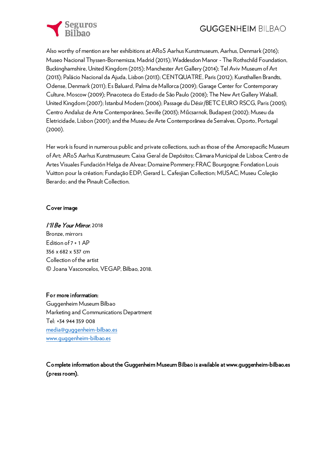

Also worthy of mention are her exhibitions at ARoS Aarhus Kunstmuseum, Aarhus, Denmark (2016); Museo Nacional Thyssen-Bornemisza, Madrid (2015); Waddesdon Manor - The Rothschild Foundation, Buckinghamshire, United Kingdom (2015); Manchester Art Gallery (2014); Tel Aviv Museum of Art (2013); Palácio Nacional da Ajuda, Lisbon (2013); CENTQUATRE, Paris (2012); Kunsthallen Brandts, Odense, Denmark (2011); Es Baluard, Palma de Mallorca (2009); Garage Center for Contemporary Culture, Moscow (2009); Pinacoteca do Estado de São Paulo (2008); The New Art Gallery Walsall, United Kingdom (2007); Istanbul Modern (2006); Passage du Désir/BETC EURO RSCG, Paris (2005); Centro Andaluz de Arte Contemporáneo, Seville (2003); Műcsarnok, Budapest (2002); Museu da Eletricidade, Lisbon (2001); and the Museu de Arte Contemporânea de Serralves, Oporto, Portugal (2000).

Her work is found in numerous public and private collections, such as those of the Amorepacific Museum of Art; ARoS Aarhus Kunstmuseum; Caixa Geral de Depósitos; Câmara Municipal de Lisboa; Centro de Artes Visuales Fundación Helga de Alvear; Domaine Pommery; FRAC Bourgogne; Fondation Louis Vuitton pour la création; Fundação EDP; Gerard L. Cafesjian Collection; MUSAC; Museu Coleção Berardo; and the Pinault Collection.

#### Cover image

#### I'll Be Your Mirror, 2018

Bronze, mirrors Edition of 7 + 1 AP 356 x 682 x 537 cm Collection of the artist © Joana Vasconcelos, VEGAP, Bilbao, 2018.

#### For more information:

Guggenheim Museum Bilbao Marketing and Communications Department Tel: +34 944 359 008 [media@guggenheim-bilbao.es](mailto:media@guggenheim-bilbao.es) [www.guggenheim-bilbao.es](http://www.guggenheim-bilbao.es/)

Complete information about the Guggenheim Museum Bilbao is available at www.guggenheim-bilbao.es (press room).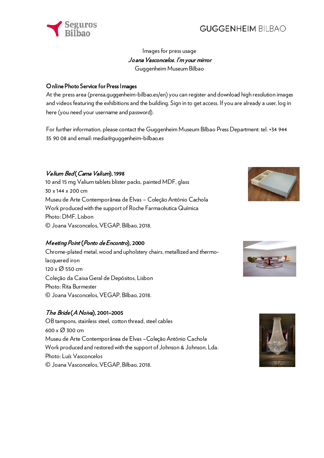

#### Images for press usage Joana Vasconcelos. I'm your mirror Guggenheim Museum Bilbao

#### Online Photo Service for Press Images

At the press area (prensa.guggenheim-bilbao.es/en) you can register and download high resolution images and videos featuring the exhibitions and the building. Sign in to get access. If you are already a user, log in here (you need your username and password).

For further information, please contact the Guggenheim Museum Bilbao Press Department: tel. +34 944 35 90 08 and email: media@guggenheim-bilbao.es

#### Valium Bed (Cama Valium), 1998

10 and 15 mg Valium tablets blister packs, painted MDF, glass 30 x 144 x 200 cm Museu de Arte Contemporânea de Elvas – Coleção António Cachola Work produced with the support of Roche Farmacêutica Química Photo: DMF, Lisbon © Joana Vasconcelos, VEGAP, Bilbao, 2018.

#### Meeting Point (Ponto de Encontro), 2000

Chrome-plated metal, wood and upholstery chairs, metallized and thermolacquered iron 120 x Ø 550 cm Coleção da Caixa Geral de Depósitos, Lisbon Photo: Rita Burmester © Joana Vasconcelos, VEGAP, Bilbao, 2018.

#### The Bride (A Noiva), 2001–2005

OB tampons, stainless steel, cotton thread, steel cables 600 x Ø 300 cm Museu de Arte Contemporânea de Elvas –Coleção António Cachola Work produced and restored with the support of Johnson & Johnson, Lda. Photo: Luís Vasconcelos © Joana Vasconcelos, VEGAP, Bilbao, 2018.





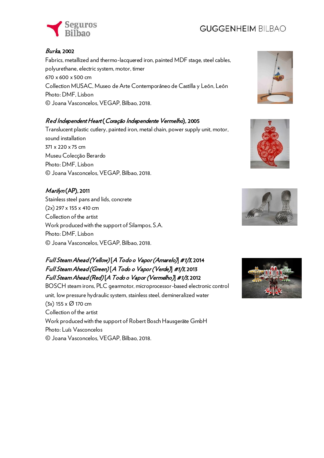

#### Burka, 2002

Fabrics, metallized and thermo-lacquered iron, painted MDF stage, steel cables, polyurethane, electric system, motor, timer 670 x 600 x 500 cm Collection MUSAC, Museo de Arte Contemporáneo de Castilla y León, León Photo: DMF, Lisbon © Joana Vasconcelos, VEGAP, Bilbao, 2018.

#### Red Independent Heart (Coração Independente Vermelho), 2005

Translucent plastic cutlery, painted iron, metal chain, power supply unit, motor, sound installation 371 x 220 x 75 cm Museu Colecção Berardo Photo: DMF, Lisbon © Joana Vasconcelos, VEGAP, Bilbao, 2018.

#### Marilyn (AP), 2011

Stainless steel pans and lids, concrete (2x) 297 x 155 x 410 cm Collection of the artist Work produced with the support of Silampos, S.A. Photo: DMF, Lisbon © Joana Vasconcelos, VEGAP, Bilbao, 2018.

#### Full Steam Ahead (Yellow) [A Todo o Vapor (Amarelo)] #1/3, 2014 Full Steam Ahead (Green) [A Todo o Vapor (Verde)] #1/3, 2013 Full Steam Ahead (Red) [A Todo o Vapor (Vermelho)] #1/3, 2012

BOSCH steam irons, PLC gearmotor, microprocessor-based electronic control unit, low pressure hydraulic system, stainless steel, demineralized water (3x) 155 x Ø 170 cm Collection of the artist Work produced with the support of Robert Bosch Hausgeräte GmbH Photo: Luís Vasconcelos © Joana Vasconcelos, VEGAP, Bilbao, 2018.







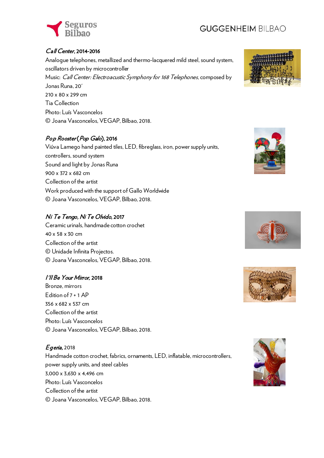

#### Call Center, 2014-2016

Analogue telephones, metallized and thermo-lacquered mild steel, sound system, oscillators driven by microcontroller Music: Call Center: Electroacustic Symphony for 168 Telephones, composed by Jonas Runa, 20' 210 x 80 x 299 cm Tia Collection Photo: Luís Vasconcelos © Joana Vasconcelos, VEGAP, Bilbao, 2018.

#### Pop Rooster (Pop Galo), 2016

Viúva Lamego hand painted tiles, LED, fibreglass, iron, power supply units, controllers, sound system Sound and light by Jonas Runa 900 x 372 x 682 cm Collection of the artist Work produced with the support of Gallo Worldwide © Joana Vasconcelos, VEGAP, Bilbao, 2018.

#### Ni Te Tengo, Ni Te Olvido, 2017

Ceramic urinals, handmade cotton crochet 40 x 58 x 30 cm Collection of the artist © Unidade Infinita Projectos. © Joana Vasconcelos, VEGAP, Bilbao, 2018.

#### I'll Be Your Mirror, 2018

Bronze, mirrors Edition of 7 + 1 AP 356 x 682 x 537 cm Collection of the artist Photo: Luís Vasconcelos © Joana Vasconcelos, VEGAP, Bilbao, 2018.

#### Egeria, 2018

Handmade cotton crochet, fabrics, ornaments, LED, inflatable, microcontrollers, power supply units, and steel cables 3,000 x 3,630 x 4,496 cm Photo: Luís Vasconcelos Collection of the artist © Joana Vasconcelos, VEGAP, Bilbao, 2018.